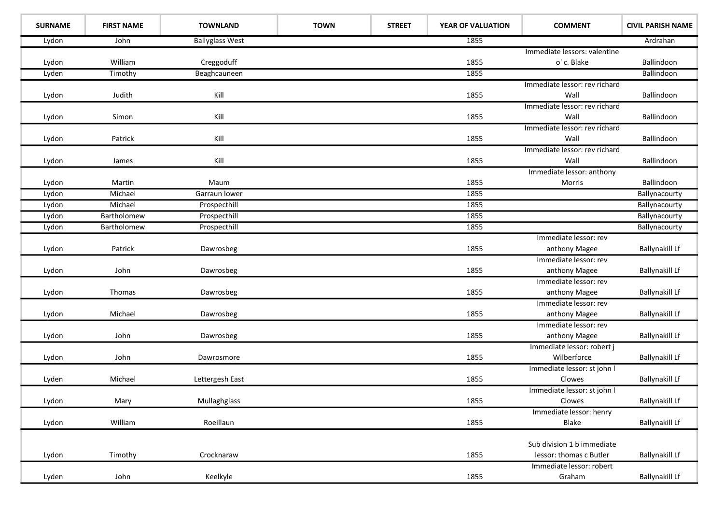| <b>SURNAME</b> | <b>FIRST NAME</b> | <b>TOWNLAND</b>        | <b>TOWN</b> | <b>STREET</b> | YEAR OF VALUATION | <b>COMMENT</b>                | <b>CIVIL PARISH NAME</b> |
|----------------|-------------------|------------------------|-------------|---------------|-------------------|-------------------------------|--------------------------|
| Lydon          | John              | <b>Ballyglass West</b> |             |               | 1855              |                               | Ardrahan                 |
|                |                   |                        |             |               |                   | Immediate lessors: valentine  |                          |
| Lydon          | William           | Creggoduff             |             |               | 1855              | o' c. Blake                   | Ballindoon               |
| Lyden          | Timothy           | Beaghcauneen           |             |               | 1855              |                               | Ballindoon               |
|                |                   |                        |             |               |                   | Immediate lessor: rev richard |                          |
| Lydon          | Judith            | Kill                   |             |               | 1855              | Wall                          | Ballindoon               |
|                |                   |                        |             |               |                   | Immediate lessor: rev richard |                          |
| Lydon          | Simon             | Kill                   |             |               | 1855              | Wall                          | Ballindoon               |
|                |                   |                        |             |               |                   | Immediate lessor: rev richard |                          |
| Lydon          | Patrick           | Kill                   |             |               | 1855              | Wall                          | Ballindoon               |
|                |                   |                        |             |               |                   | Immediate lessor: rev richard |                          |
| Lydon          | James             | Kill                   |             |               | 1855              | Wall                          | Ballindoon               |
|                |                   |                        |             |               |                   | Immediate lessor: anthony     |                          |
| Lydon          | Martin            | Maum                   |             |               | 1855              | Morris                        | Ballindoon               |
| Lydon          | Michael           | Garraun lower          |             |               | 1855              |                               | Ballynacourty            |
| Lydon          | Michael           | Prospecthill           |             |               | 1855              |                               | Ballynacourty            |
| Lydon          | Bartholomew       | Prospecthill           |             |               | 1855              |                               | Ballynacourty            |
| Lydon          | Bartholomew       | Prospecthill           |             |               | 1855              |                               | Ballynacourty            |
|                |                   |                        |             |               |                   | Immediate lessor: rev         |                          |
| Lydon          | Patrick           | Dawrosbeg              |             |               | 1855              | anthony Magee                 | <b>Ballynakill Lf</b>    |
|                |                   |                        |             |               |                   | Immediate lessor: rev         |                          |
| Lydon          | John              | Dawrosbeg              |             |               | 1855              | anthony Magee                 | Ballynakill Lf           |
|                |                   |                        |             |               |                   | Immediate lessor: rev         |                          |
| Lydon          | Thomas            | Dawrosbeg              |             |               | 1855              | anthony Magee                 | Ballynakill Lf           |
|                |                   |                        |             |               |                   | Immediate lessor: rev         |                          |
| Lydon          | Michael           | Dawrosbeg              |             |               | 1855              | anthony Magee                 | <b>Ballynakill Lf</b>    |
|                |                   |                        |             |               |                   | Immediate lessor: rev         |                          |
| Lydon          | John              | Dawrosbeg              |             |               | 1855              | anthony Magee                 | <b>Ballynakill Lf</b>    |
|                |                   |                        |             |               |                   | Immediate lessor: robert j    |                          |
| Lydon          | John              | Dawrosmore             |             |               | 1855              | Wilberforce                   | Ballynakill Lf           |
|                |                   |                        |             |               |                   | Immediate lessor: st john I   |                          |
| Lyden          | Michael           | Lettergesh East        |             |               | 1855              | Clowes                        | <b>Ballynakill Lf</b>    |
|                |                   |                        |             |               |                   | Immediate lessor: st john I   |                          |
| Lydon          | Mary              | Mullaghglass           |             |               | 1855              | Clowes                        | <b>Ballynakill Lf</b>    |
|                |                   |                        |             |               |                   | Immediate lessor: henry       |                          |
| Lydon          | William           | Roeillaun              |             |               | 1855              | Blake                         | <b>Ballynakill Lf</b>    |
|                |                   |                        |             |               |                   |                               |                          |
|                |                   |                        |             |               |                   | Sub division 1 b immediate    |                          |
| Lydon          | Timothy           | Crocknaraw             |             |               | 1855              | lessor: thomas c Butler       | <b>Ballynakill Lf</b>    |
|                |                   |                        |             |               |                   | Immediate lessor: robert      |                          |
| Lyden          | John              | Keelkyle               |             |               | 1855              | Graham                        | <b>Ballynakill Lf</b>    |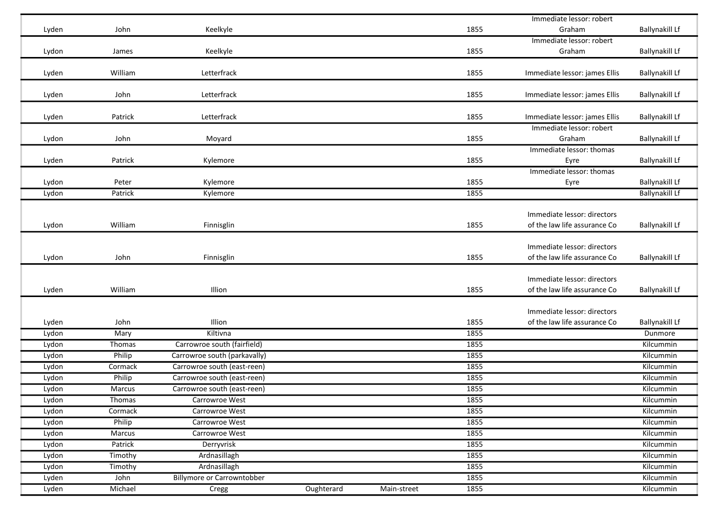|       |         |                                   |            |             |      | Immediate lessor: robert      |                       |
|-------|---------|-----------------------------------|------------|-------------|------|-------------------------------|-----------------------|
| Lyden | John    | Keelkyle                          |            |             | 1855 | Graham                        | Ballynakill Lf        |
|       |         |                                   |            |             |      | Immediate lessor: robert      |                       |
| Lydon | James   | Keelkyle                          |            |             | 1855 | Graham                        | <b>Ballynakill Lf</b> |
|       |         |                                   |            |             |      |                               |                       |
| Lyden | William | Letterfrack                       |            |             | 1855 | Immediate lessor: james Ellis | <b>Ballynakill Lf</b> |
|       |         |                                   |            |             |      |                               |                       |
| Lyden | John    | Letterfrack                       |            |             | 1855 | Immediate lessor: james Ellis | <b>Ballynakill Lf</b> |
|       |         |                                   |            |             |      |                               |                       |
| Lyden | Patrick | Letterfrack                       |            |             | 1855 | Immediate lessor: james Ellis | <b>Ballynakill Lf</b> |
|       |         |                                   |            |             |      | Immediate lessor: robert      |                       |
| Lydon | John    | Moyard                            |            |             | 1855 | Graham                        | <b>Ballynakill Lf</b> |
|       |         |                                   |            |             |      | Immediate lessor: thomas      |                       |
| Lyden | Patrick | Kylemore                          |            |             | 1855 | Eyre                          | Ballynakill Lf        |
|       |         |                                   |            |             |      | Immediate lessor: thomas      |                       |
| Lydon | Peter   | Kylemore                          |            |             | 1855 | Eyre                          | <b>Ballynakill Lf</b> |
| Lydon | Patrick | Kylemore                          |            |             | 1855 |                               | <b>Ballynakill Lf</b> |
|       |         |                                   |            |             |      |                               |                       |
|       |         |                                   |            |             |      | Immediate lessor: directors   |                       |
| Lydon | William | Finnisglin                        |            |             | 1855 | of the law life assurance Co  | <b>Ballynakill Lf</b> |
|       |         |                                   |            |             |      |                               |                       |
|       |         |                                   |            |             |      | Immediate lessor: directors   |                       |
| Lydon | John    | Finnisglin                        |            |             | 1855 | of the law life assurance Co  | <b>Ballynakill Lf</b> |
|       |         |                                   |            |             |      |                               |                       |
|       |         |                                   |            |             |      | Immediate lessor: directors   |                       |
| Lyden | William | Illion                            |            |             | 1855 | of the law life assurance Co  | <b>Ballynakill Lf</b> |
|       |         |                                   |            |             |      |                               |                       |
|       |         |                                   |            |             |      | Immediate lessor: directors   |                       |
| Lyden | John    | Illion<br>Kiltivna                |            |             | 1855 | of the law life assurance Co  | <b>Ballynakill Lf</b> |
| Lydon | Mary    |                                   |            |             | 1855 |                               | Dunmore               |
| Lydon | Thomas  | Carrowroe south (fairfield)       |            |             | 1855 |                               | Kilcummin             |
| Lydon | Philip  | Carrowroe south (parkavally)      |            |             | 1855 |                               | Kilcummin             |
| Lydon | Cormack | Carrowroe south (east-reen)       |            |             | 1855 |                               | Kilcummin             |
| Lydon | Philip  | Carrowroe south (east-reen)       |            |             | 1855 |                               | Kilcummin             |
| Lydon | Marcus  | Carrowroe south (east-reen)       |            |             | 1855 |                               | Kilcummin             |
| Lydon | Thomas  | Carrowroe West                    |            |             | 1855 |                               | Kilcummin             |
| Lydon | Cormack | Carrowroe West                    |            |             | 1855 |                               | Kilcummin             |
| Lydon | Philip  | Carrowroe West                    |            |             | 1855 |                               | Kilcummin             |
| Lydon | Marcus  | Carrowroe West                    |            |             | 1855 |                               | Kilcummin             |
| Lydon | Patrick | Derryvrisk                        |            |             | 1855 |                               | Kilcummin             |
| Lydon | Timothy | Ardnasillagh                      |            |             | 1855 |                               | Kilcummin             |
| Lydon | Timothy | Ardnasillagh                      |            |             | 1855 |                               | Kilcummin             |
| Lyden | John    | <b>Billymore or Carrowntobber</b> |            |             | 1855 |                               | Kilcummin             |
| Lyden | Michael | Cregg                             | Oughterard | Main-street | 1855 |                               | Kilcummin             |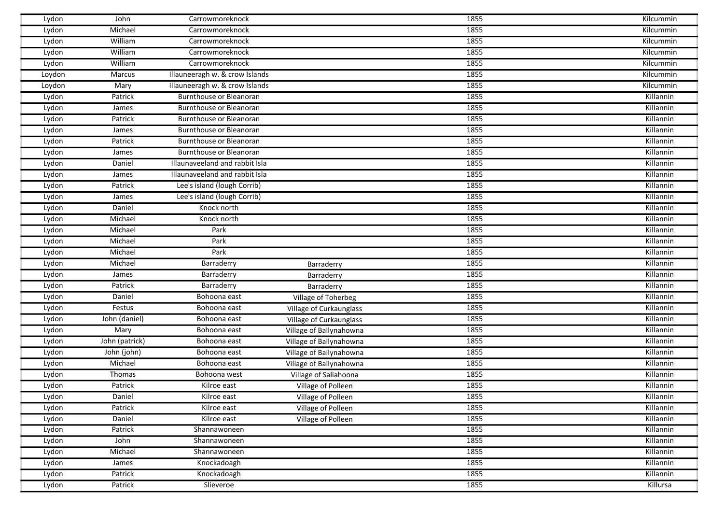| Lydon  | John           | Carrowmoreknock                |                         | 1855 | Kilcummin |
|--------|----------------|--------------------------------|-------------------------|------|-----------|
| Lydon  | Michael        | Carrowmoreknock                |                         | 1855 | Kilcummin |
| Lydon  | William        | Carrowmoreknock                |                         | 1855 | Kilcummin |
| Lydon  | William        | Carrowmoreknock                |                         | 1855 | Kilcummin |
| Lydon  | William        | Carrowmoreknock                |                         | 1855 | Kilcummin |
| Loydon | Marcus         | Illauneeragh w. & crow Islands |                         | 1855 | Kilcummin |
| Loydon | Mary           | Illauneeragh w. & crow Islands |                         | 1855 | Kilcummin |
| Lydon  | Patrick        | Burnthouse or Bleanoran        |                         | 1855 | Killannin |
| Lydon  | James          | Burnthouse or Bleanoran        |                         | 1855 | Killannin |
| Lydon  | Patrick        | Burnthouse or Bleanoran        |                         | 1855 | Killannin |
| Lydon  | James          | Burnthouse or Bleanoran        |                         | 1855 | Killannin |
| Lydon  | Patrick        | Burnthouse or Bleanoran        |                         | 1855 | Killannin |
| Lydon  | James          | Burnthouse or Bleanoran        |                         | 1855 | Killannin |
| Lydon  | Daniel         | Illaunaveeland and rabbit Isla |                         | 1855 | Killannin |
| Lydon  | James          | Illaunaveeland and rabbit Isla |                         | 1855 | Killannin |
| Lydon  | Patrick        | Lee's island (lough Corrib)    |                         | 1855 | Killannin |
| Lydon  | James          | Lee's island (lough Corrib)    |                         | 1855 | Killannin |
| Lydon  | Daniel         | Knock north                    |                         | 1855 | Killannin |
| Lydon  | Michael        | Knock north                    |                         | 1855 | Killannin |
| Lydon  | Michael        | Park                           |                         | 1855 | Killannin |
| Lydon  | Michael        | Park                           |                         | 1855 | Killannin |
| Lydon  | Michael        | Park                           |                         | 1855 | Killannin |
| Lydon  | Michael        | Barraderry                     | Barraderry              | 1855 | Killannin |
| Lydon  | James          | Barraderry                     | Barraderry              | 1855 | Killannin |
| Lydon  | Patrick        | Barraderry                     | Barraderry              | 1855 | Killannin |
| Lydon  | Daniel         | Bohoona east                   | Village of Toherbeg     | 1855 | Killannin |
| Lydon  | Festus         | Bohoona east                   | Village of Curkaunglass | 1855 | Killannin |
| Lydon  | John (daniel)  | Bohoona east                   | Village of Curkaunglass | 1855 | Killannin |
| Lydon  | Mary           | Bohoona east                   | Village of Ballynahowna | 1855 | Killannin |
| Lydon  | John (patrick) | Bohoona east                   | Village of Ballynahowna | 1855 | Killannin |
| Lydon  | John (john)    | Bohoona east                   | Village of Ballynahowna | 1855 | Killannin |
| Lydon  | Michael        | Bohoona east                   | Village of Ballynahowna | 1855 | Killannin |
| Lydon  | Thomas         | Bohoona west                   | Village of Saliahoona   | 1855 | Killannin |
| Lydon  | Patrick        | Kilroe east                    | Village of Polleen      | 1855 | Killannin |
| Lydon  | Daniel         | Kilroe east                    | Village of Polleen      | 1855 | Killannin |
| Lydon  | Patrick        | Kilroe east                    | Village of Polleen      | 1855 | Killannin |
| Lydon  | Daniel         | Kilroe east                    | Village of Polleen      | 1855 | Killannin |
| Lydon  | Patrick        | Shannawoneen                   |                         | 1855 | Killannin |
| Lydon  | John           | Shannawoneen                   |                         | 1855 | Killannin |
| Lydon  | Michael        | Shannawoneen                   |                         | 1855 | Killannin |
| Lydon  | James          | Knockadoagh                    |                         | 1855 | Killannin |
| Lydon  | Patrick        | Knockadoagh                    |                         | 1855 | Killannin |
| Lydon  | Patrick        | Slieveroe                      |                         | 1855 | Killursa  |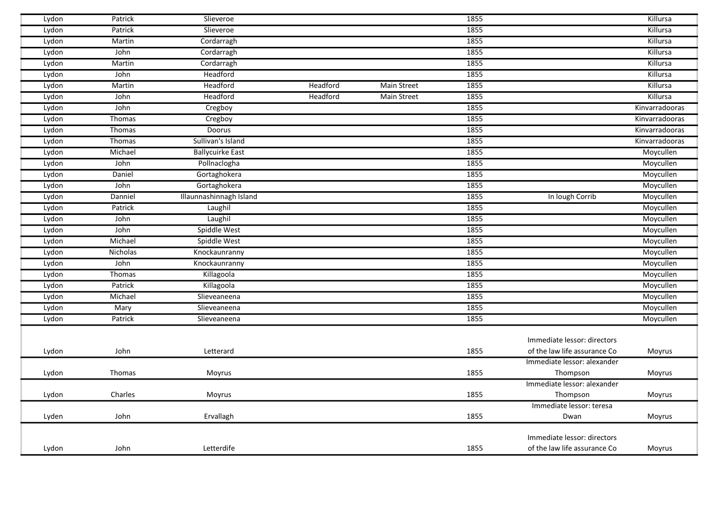| Lydon | Patrick  | Slieveroe               |          |                    | 1855 |                              | Killursa       |
|-------|----------|-------------------------|----------|--------------------|------|------------------------------|----------------|
| Lydon | Patrick  | Slieveroe               |          |                    | 1855 |                              | Killursa       |
| Lydon | Martin   | Cordarragh              |          |                    | 1855 |                              | Killursa       |
| Lydon | John     | Cordarragh              |          |                    | 1855 |                              | Killursa       |
| Lydon | Martin   | Cordarragh              |          |                    | 1855 |                              | Killursa       |
| Lydon | John     | Headford                |          |                    | 1855 |                              | Killursa       |
| Lydon | Martin   | Headford                | Headford | Main Street        | 1855 |                              | Killursa       |
| Lydon | John     | Headford                | Headford | <b>Main Street</b> | 1855 |                              | Killursa       |
| Lydon | John     | Cregboy                 |          |                    | 1855 |                              | Kinvarradooras |
| Lydon | Thomas   | Cregboy                 |          |                    | 1855 |                              | Kinvarradooras |
| Lydon | Thomas   | Doorus                  |          |                    | 1855 |                              | Kinvarradooras |
| Lydon | Thomas   | Sullivan's Island       |          |                    | 1855 |                              | Kinvarradooras |
| Lydon | Michael  | <b>Ballycuirke East</b> |          |                    | 1855 |                              | Moycullen      |
| Lydon | John     | Pollnaclogha            |          |                    | 1855 |                              | Moycullen      |
| Lydon | Daniel   | Gortaghokera            |          |                    | 1855 |                              | Moycullen      |
| Lydon | John     | Gortaghokera            |          |                    | 1855 |                              | Moycullen      |
| Lydon | Danniel  | Illaunnashinnagh Island |          |                    | 1855 | In lough Corrib              | Moycullen      |
| Lydon | Patrick  | Laughil                 |          |                    | 1855 |                              | Moycullen      |
| Lydon | John     | Laughil                 |          |                    | 1855 |                              | Moycullen      |
| Lydon | John     | Spiddle West            |          |                    | 1855 |                              | Moycullen      |
| Lydon | Michael  | Spiddle West            |          |                    | 1855 |                              | Moycullen      |
| Lydon | Nicholas | Knockaunranny           |          |                    | 1855 |                              | Moycullen      |
| Lydon | John     | Knockaunranny           |          |                    | 1855 |                              | Moycullen      |
| Lydon | Thomas   | Killagoola              |          |                    | 1855 |                              | Moycullen      |
| Lydon | Patrick  | Killagoola              |          |                    | 1855 |                              | Moycullen      |
| Lydon | Michael  | Slieveaneena            |          |                    | 1855 |                              | Moycullen      |
| Lydon | Mary     | Slieveaneena            |          |                    | 1855 |                              | Moycullen      |
| Lydon | Patrick  | Slieveaneena            |          |                    | 1855 |                              | Moycullen      |
|       |          |                         |          |                    |      |                              |                |
|       |          |                         |          |                    |      | Immediate lessor: directors  |                |
| Lydon | John     | Letterard               |          |                    | 1855 | of the law life assurance Co | Moyrus         |
|       |          |                         |          |                    |      | Immediate lessor: alexander  |                |
| Lydon | Thomas   | Moyrus                  |          |                    | 1855 | Thompson                     | Moyrus         |
|       |          |                         |          |                    |      | Immediate lessor: alexander  |                |
| Lydon | Charles  | Moyrus                  |          |                    | 1855 | Thompson                     | Moyrus         |
|       |          |                         |          |                    |      | Immediate lessor: teresa     |                |
| Lyden | John     | Ervallagh               |          |                    | 1855 | Dwan                         | Moyrus         |
|       |          |                         |          |                    |      |                              |                |
|       |          |                         |          |                    |      | Immediate lessor: directors  |                |
| Lydon | John     | Letterdife              |          |                    | 1855 | of the law life assurance Co | Moyrus         |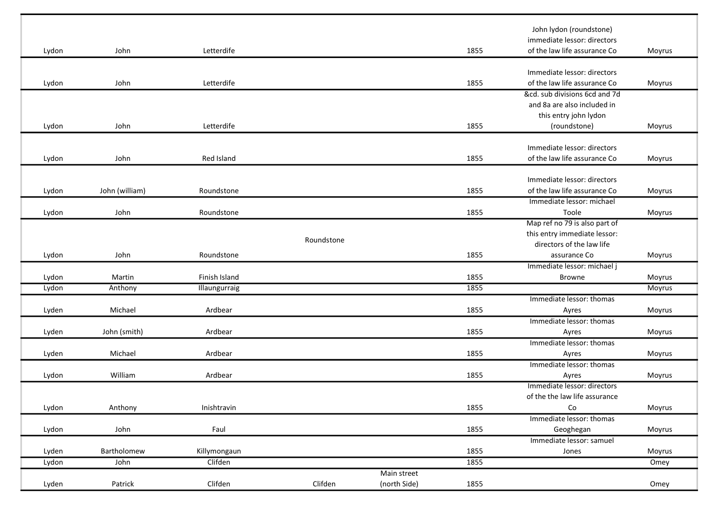| John<br>Letterdife<br>1855<br>of the law life assurance Co<br>Lydon<br>Moyrus<br>Immediate lessor: directors<br>Letterdife<br>1855<br>of the law life assurance Co<br>Lydon<br>John<br>Moyrus<br>&cd. sub divisions 6cd and 7d<br>and 8a are also included in<br>this entry john lydon<br>Lydon<br>John<br>Letterdife<br>1855<br>(roundstone)<br>Moyrus<br>Immediate lessor: directors<br>Red Island<br>1855<br>John<br>of the law life assurance Co<br>Lydon<br>Moyrus<br>Immediate lessor: directors<br>of the law life assurance Co<br>Lydon<br>John (william)<br>Roundstone<br>1855<br>Moyrus<br>Immediate lessor: michael<br>1855<br>John<br>Toole<br>Lydon<br>Roundstone<br>Moyrus<br>Map ref no 79 is also part of<br>this entry immediate lessor:<br>Roundstone<br>directors of the law life<br>1855<br>Lydon<br>John<br>Roundstone<br>assurance Co<br>Moyrus<br>Immediate lessor: michael j<br>1855<br>Finish Island<br>Lydon<br>Martin<br><b>Browne</b><br>Moyrus<br>1855<br>Lydon<br>Anthony<br>Illaungurraig<br>Moyrus<br>Immediate lessor: thomas<br>1855<br>Michael<br>Ardbear<br>Lyden<br>Moyrus<br>Ayres<br>Immediate lessor: thomas<br>Ardbear<br>1855<br>John (smith)<br>Moyrus<br>Lyden<br>Ayres<br>Immediate lessor: thomas<br>Michael<br>Ardbear<br>1855<br>Lyden<br>Ayres<br>Moyrus<br>Immediate lessor: thomas<br>William<br>Ardbear<br>1855<br>Lydon<br>Ayres<br>Moyrus<br>Immediate lessor: directors<br>of the the law life assurance<br>Inishtravin<br>1855<br>Co<br>Lydon<br>Anthony<br>Moyrus<br>Immediate lessor: thomas<br>John<br>Faul<br>1855<br>Lydon<br>Geoghegan<br>Moyrus<br>Immediate lessor: samuel<br>1855<br>Bartholomew<br>Lyden<br>Killymongaun<br>Jones<br>Moyrus<br>1855<br>John<br>Clifden<br>Lydon<br>Omey<br>Main street |       |         |         |         |              |      | John lydon (roundstone)<br>immediate lessor: directors |      |
|--------------------------------------------------------------------------------------------------------------------------------------------------------------------------------------------------------------------------------------------------------------------------------------------------------------------------------------------------------------------------------------------------------------------------------------------------------------------------------------------------------------------------------------------------------------------------------------------------------------------------------------------------------------------------------------------------------------------------------------------------------------------------------------------------------------------------------------------------------------------------------------------------------------------------------------------------------------------------------------------------------------------------------------------------------------------------------------------------------------------------------------------------------------------------------------------------------------------------------------------------------------------------------------------------------------------------------------------------------------------------------------------------------------------------------------------------------------------------------------------------------------------------------------------------------------------------------------------------------------------------------------------------------------------------------------------------------------------------------------------------------------------------|-------|---------|---------|---------|--------------|------|--------------------------------------------------------|------|
|                                                                                                                                                                                                                                                                                                                                                                                                                                                                                                                                                                                                                                                                                                                                                                                                                                                                                                                                                                                                                                                                                                                                                                                                                                                                                                                                                                                                                                                                                                                                                                                                                                                                                                                                                                          |       |         |         |         |              |      |                                                        |      |
|                                                                                                                                                                                                                                                                                                                                                                                                                                                                                                                                                                                                                                                                                                                                                                                                                                                                                                                                                                                                                                                                                                                                                                                                                                                                                                                                                                                                                                                                                                                                                                                                                                                                                                                                                                          |       |         |         |         |              |      |                                                        |      |
|                                                                                                                                                                                                                                                                                                                                                                                                                                                                                                                                                                                                                                                                                                                                                                                                                                                                                                                                                                                                                                                                                                                                                                                                                                                                                                                                                                                                                                                                                                                                                                                                                                                                                                                                                                          |       |         |         |         |              |      |                                                        |      |
|                                                                                                                                                                                                                                                                                                                                                                                                                                                                                                                                                                                                                                                                                                                                                                                                                                                                                                                                                                                                                                                                                                                                                                                                                                                                                                                                                                                                                                                                                                                                                                                                                                                                                                                                                                          |       |         |         |         |              |      |                                                        |      |
|                                                                                                                                                                                                                                                                                                                                                                                                                                                                                                                                                                                                                                                                                                                                                                                                                                                                                                                                                                                                                                                                                                                                                                                                                                                                                                                                                                                                                                                                                                                                                                                                                                                                                                                                                                          |       |         |         |         |              |      |                                                        |      |
|                                                                                                                                                                                                                                                                                                                                                                                                                                                                                                                                                                                                                                                                                                                                                                                                                                                                                                                                                                                                                                                                                                                                                                                                                                                                                                                                                                                                                                                                                                                                                                                                                                                                                                                                                                          |       |         |         |         |              |      |                                                        |      |
|                                                                                                                                                                                                                                                                                                                                                                                                                                                                                                                                                                                                                                                                                                                                                                                                                                                                                                                                                                                                                                                                                                                                                                                                                                                                                                                                                                                                                                                                                                                                                                                                                                                                                                                                                                          |       |         |         |         |              |      |                                                        |      |
|                                                                                                                                                                                                                                                                                                                                                                                                                                                                                                                                                                                                                                                                                                                                                                                                                                                                                                                                                                                                                                                                                                                                                                                                                                                                                                                                                                                                                                                                                                                                                                                                                                                                                                                                                                          |       |         |         |         |              |      |                                                        |      |
|                                                                                                                                                                                                                                                                                                                                                                                                                                                                                                                                                                                                                                                                                                                                                                                                                                                                                                                                                                                                                                                                                                                                                                                                                                                                                                                                                                                                                                                                                                                                                                                                                                                                                                                                                                          |       |         |         |         |              |      |                                                        |      |
|                                                                                                                                                                                                                                                                                                                                                                                                                                                                                                                                                                                                                                                                                                                                                                                                                                                                                                                                                                                                                                                                                                                                                                                                                                                                                                                                                                                                                                                                                                                                                                                                                                                                                                                                                                          |       |         |         |         |              |      |                                                        |      |
|                                                                                                                                                                                                                                                                                                                                                                                                                                                                                                                                                                                                                                                                                                                                                                                                                                                                                                                                                                                                                                                                                                                                                                                                                                                                                                                                                                                                                                                                                                                                                                                                                                                                                                                                                                          |       |         |         |         |              |      |                                                        |      |
|                                                                                                                                                                                                                                                                                                                                                                                                                                                                                                                                                                                                                                                                                                                                                                                                                                                                                                                                                                                                                                                                                                                                                                                                                                                                                                                                                                                                                                                                                                                                                                                                                                                                                                                                                                          |       |         |         |         |              |      |                                                        |      |
|                                                                                                                                                                                                                                                                                                                                                                                                                                                                                                                                                                                                                                                                                                                                                                                                                                                                                                                                                                                                                                                                                                                                                                                                                                                                                                                                                                                                                                                                                                                                                                                                                                                                                                                                                                          |       |         |         |         |              |      |                                                        |      |
|                                                                                                                                                                                                                                                                                                                                                                                                                                                                                                                                                                                                                                                                                                                                                                                                                                                                                                                                                                                                                                                                                                                                                                                                                                                                                                                                                                                                                                                                                                                                                                                                                                                                                                                                                                          |       |         |         |         |              |      |                                                        |      |
|                                                                                                                                                                                                                                                                                                                                                                                                                                                                                                                                                                                                                                                                                                                                                                                                                                                                                                                                                                                                                                                                                                                                                                                                                                                                                                                                                                                                                                                                                                                                                                                                                                                                                                                                                                          |       |         |         |         |              |      |                                                        |      |
|                                                                                                                                                                                                                                                                                                                                                                                                                                                                                                                                                                                                                                                                                                                                                                                                                                                                                                                                                                                                                                                                                                                                                                                                                                                                                                                                                                                                                                                                                                                                                                                                                                                                                                                                                                          |       |         |         |         |              |      |                                                        |      |
|                                                                                                                                                                                                                                                                                                                                                                                                                                                                                                                                                                                                                                                                                                                                                                                                                                                                                                                                                                                                                                                                                                                                                                                                                                                                                                                                                                                                                                                                                                                                                                                                                                                                                                                                                                          |       |         |         |         |              |      |                                                        |      |
|                                                                                                                                                                                                                                                                                                                                                                                                                                                                                                                                                                                                                                                                                                                                                                                                                                                                                                                                                                                                                                                                                                                                                                                                                                                                                                                                                                                                                                                                                                                                                                                                                                                                                                                                                                          |       |         |         |         |              |      |                                                        |      |
|                                                                                                                                                                                                                                                                                                                                                                                                                                                                                                                                                                                                                                                                                                                                                                                                                                                                                                                                                                                                                                                                                                                                                                                                                                                                                                                                                                                                                                                                                                                                                                                                                                                                                                                                                                          |       |         |         |         |              |      |                                                        |      |
|                                                                                                                                                                                                                                                                                                                                                                                                                                                                                                                                                                                                                                                                                                                                                                                                                                                                                                                                                                                                                                                                                                                                                                                                                                                                                                                                                                                                                                                                                                                                                                                                                                                                                                                                                                          |       |         |         |         |              |      |                                                        |      |
|                                                                                                                                                                                                                                                                                                                                                                                                                                                                                                                                                                                                                                                                                                                                                                                                                                                                                                                                                                                                                                                                                                                                                                                                                                                                                                                                                                                                                                                                                                                                                                                                                                                                                                                                                                          |       |         |         |         |              |      |                                                        |      |
|                                                                                                                                                                                                                                                                                                                                                                                                                                                                                                                                                                                                                                                                                                                                                                                                                                                                                                                                                                                                                                                                                                                                                                                                                                                                                                                                                                                                                                                                                                                                                                                                                                                                                                                                                                          |       |         |         |         |              |      |                                                        |      |
|                                                                                                                                                                                                                                                                                                                                                                                                                                                                                                                                                                                                                                                                                                                                                                                                                                                                                                                                                                                                                                                                                                                                                                                                                                                                                                                                                                                                                                                                                                                                                                                                                                                                                                                                                                          |       |         |         |         |              |      |                                                        |      |
|                                                                                                                                                                                                                                                                                                                                                                                                                                                                                                                                                                                                                                                                                                                                                                                                                                                                                                                                                                                                                                                                                                                                                                                                                                                                                                                                                                                                                                                                                                                                                                                                                                                                                                                                                                          |       |         |         |         |              |      |                                                        |      |
|                                                                                                                                                                                                                                                                                                                                                                                                                                                                                                                                                                                                                                                                                                                                                                                                                                                                                                                                                                                                                                                                                                                                                                                                                                                                                                                                                                                                                                                                                                                                                                                                                                                                                                                                                                          |       |         |         |         |              |      |                                                        |      |
|                                                                                                                                                                                                                                                                                                                                                                                                                                                                                                                                                                                                                                                                                                                                                                                                                                                                                                                                                                                                                                                                                                                                                                                                                                                                                                                                                                                                                                                                                                                                                                                                                                                                                                                                                                          |       |         |         |         |              |      |                                                        |      |
|                                                                                                                                                                                                                                                                                                                                                                                                                                                                                                                                                                                                                                                                                                                                                                                                                                                                                                                                                                                                                                                                                                                                                                                                                                                                                                                                                                                                                                                                                                                                                                                                                                                                                                                                                                          |       |         |         |         |              |      |                                                        |      |
|                                                                                                                                                                                                                                                                                                                                                                                                                                                                                                                                                                                                                                                                                                                                                                                                                                                                                                                                                                                                                                                                                                                                                                                                                                                                                                                                                                                                                                                                                                                                                                                                                                                                                                                                                                          |       |         |         |         |              |      |                                                        |      |
|                                                                                                                                                                                                                                                                                                                                                                                                                                                                                                                                                                                                                                                                                                                                                                                                                                                                                                                                                                                                                                                                                                                                                                                                                                                                                                                                                                                                                                                                                                                                                                                                                                                                                                                                                                          |       |         |         |         |              |      |                                                        |      |
|                                                                                                                                                                                                                                                                                                                                                                                                                                                                                                                                                                                                                                                                                                                                                                                                                                                                                                                                                                                                                                                                                                                                                                                                                                                                                                                                                                                                                                                                                                                                                                                                                                                                                                                                                                          |       |         |         |         |              |      |                                                        |      |
|                                                                                                                                                                                                                                                                                                                                                                                                                                                                                                                                                                                                                                                                                                                                                                                                                                                                                                                                                                                                                                                                                                                                                                                                                                                                                                                                                                                                                                                                                                                                                                                                                                                                                                                                                                          |       |         |         |         |              |      |                                                        |      |
|                                                                                                                                                                                                                                                                                                                                                                                                                                                                                                                                                                                                                                                                                                                                                                                                                                                                                                                                                                                                                                                                                                                                                                                                                                                                                                                                                                                                                                                                                                                                                                                                                                                                                                                                                                          |       |         |         |         |              |      |                                                        |      |
|                                                                                                                                                                                                                                                                                                                                                                                                                                                                                                                                                                                                                                                                                                                                                                                                                                                                                                                                                                                                                                                                                                                                                                                                                                                                                                                                                                                                                                                                                                                                                                                                                                                                                                                                                                          |       |         |         |         |              |      |                                                        |      |
|                                                                                                                                                                                                                                                                                                                                                                                                                                                                                                                                                                                                                                                                                                                                                                                                                                                                                                                                                                                                                                                                                                                                                                                                                                                                                                                                                                                                                                                                                                                                                                                                                                                                                                                                                                          |       |         |         |         |              |      |                                                        |      |
|                                                                                                                                                                                                                                                                                                                                                                                                                                                                                                                                                                                                                                                                                                                                                                                                                                                                                                                                                                                                                                                                                                                                                                                                                                                                                                                                                                                                                                                                                                                                                                                                                                                                                                                                                                          |       |         |         |         |              |      |                                                        |      |
|                                                                                                                                                                                                                                                                                                                                                                                                                                                                                                                                                                                                                                                                                                                                                                                                                                                                                                                                                                                                                                                                                                                                                                                                                                                                                                                                                                                                                                                                                                                                                                                                                                                                                                                                                                          |       |         |         |         |              |      |                                                        |      |
|                                                                                                                                                                                                                                                                                                                                                                                                                                                                                                                                                                                                                                                                                                                                                                                                                                                                                                                                                                                                                                                                                                                                                                                                                                                                                                                                                                                                                                                                                                                                                                                                                                                                                                                                                                          |       |         |         |         |              |      |                                                        |      |
|                                                                                                                                                                                                                                                                                                                                                                                                                                                                                                                                                                                                                                                                                                                                                                                                                                                                                                                                                                                                                                                                                                                                                                                                                                                                                                                                                                                                                                                                                                                                                                                                                                                                                                                                                                          |       |         |         |         |              |      |                                                        |      |
|                                                                                                                                                                                                                                                                                                                                                                                                                                                                                                                                                                                                                                                                                                                                                                                                                                                                                                                                                                                                                                                                                                                                                                                                                                                                                                                                                                                                                                                                                                                                                                                                                                                                                                                                                                          | Lyden | Patrick | Clifden | Clifden | (north Side) | 1855 |                                                        | Omey |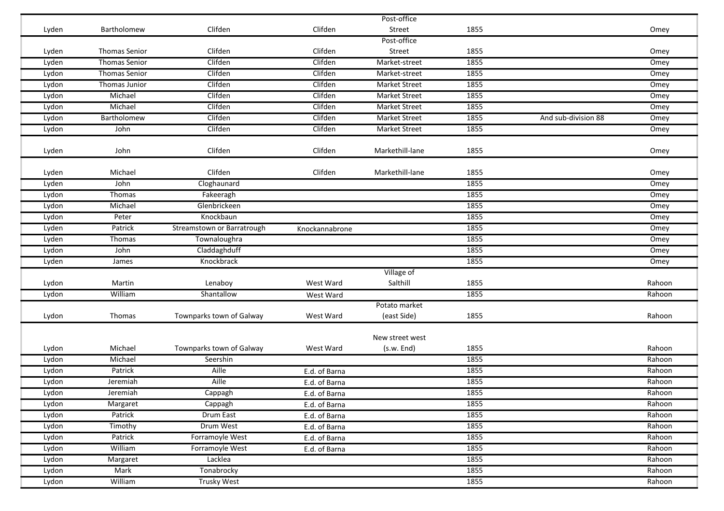|       |                      |                            |                | Post-office     |      |                     |        |
|-------|----------------------|----------------------------|----------------|-----------------|------|---------------------|--------|
| Lyden | Bartholomew          | Clifden                    | Clifden        | Street          | 1855 |                     | Omey   |
|       |                      |                            |                | Post-office     |      |                     |        |
| Lyden | <b>Thomas Senior</b> | Clifden                    | Clifden        | Street          | 1855 |                     | Omey   |
| Lyden | <b>Thomas Senior</b> | Clifden                    | Clifden        | Market-street   | 1855 |                     | Omey   |
| Lydon | <b>Thomas Senior</b> | Clifden                    | Clifden        | Market-street   | 1855 |                     | Omey   |
| Lydon | Thomas Junior        | Clifden                    | Clifden        | Market Street   | 1855 |                     | Omey   |
| Lydon | Michael              | Clifden                    | Clifden        | Market Street   | 1855 |                     | Omey   |
| Lydon | Michael              | Clifden                    | Clifden        | Market Street   | 1855 |                     | Omey   |
| Lydon | Bartholomew          | Clifden                    | Clifden        | Market Street   | 1855 | And sub-division 88 | Omey   |
| Lydon | John                 | Clifden                    | Clifden        | Market Street   | 1855 |                     | Omey   |
| Lyden | John                 | Clifden                    | Clifden        | Markethill-lane | 1855 |                     | Omey   |
| Lyden | Michael              | Clifden                    | Clifden        | Markethill-lane | 1855 |                     | Omey   |
| Lyden | John                 | Cloghaunard                |                |                 | 1855 |                     | Omey   |
| Lydon | Thomas               | Fakeeragh                  |                |                 | 1855 |                     | Omey   |
| Lydon | Michael              | Glenbrickeen               |                |                 | 1855 |                     | Omey   |
| Lydon | Peter                | Knockbaun                  |                |                 | 1855 |                     | Omey   |
| Lyden | Patrick              | Streamstown or Barratrough | Knockannabrone |                 | 1855 |                     | Omey   |
| Lyden | Thomas               | Townaloughra               |                |                 | 1855 |                     | Omey   |
| Lydon | John                 | Claddaghduff               |                |                 | 1855 |                     | Omey   |
| Lyden | James                | Knockbrack                 |                |                 | 1855 |                     | Omey   |
|       |                      |                            |                | Village of      |      |                     |        |
| Lydon | Martin               | Lenaboy                    | West Ward      | Salthill        | 1855 |                     | Rahoon |
| Lydon | William              | Shantallow                 | West Ward      |                 | 1855 |                     | Rahoon |
|       |                      |                            |                | Potato market   |      |                     |        |
| Lydon | Thomas               | Townparks town of Galway   | West Ward      | (east Side)     | 1855 |                     | Rahoon |
|       |                      |                            |                | New street west |      |                     |        |
| Lydon | Michael              | Townparks town of Galway   | West Ward      | (s.w. End)      | 1855 |                     | Rahoon |
| Lydon | Michael              | Seershin                   |                |                 | 1855 |                     | Rahoon |
| Lydon | Patrick              | Aille                      | E.d. of Barna  |                 | 1855 |                     | Rahoon |
| Lydon | Jeremiah             | Aille                      | E.d. of Barna  |                 | 1855 |                     | Rahoon |
| Lydon | Jeremiah             | Cappagh                    | E.d. of Barna  |                 | 1855 |                     | Rahoon |
| Lydon | Margaret             | Cappagh                    | E.d. of Barna  |                 | 1855 |                     | Rahoon |
| Lydon | Patrick              | Drum East                  | E.d. of Barna  |                 | 1855 |                     | Rahoon |
| Lydon | Timothy              | Drum West                  | E.d. of Barna  |                 | 1855 |                     | Rahoon |
| Lydon | Patrick              | Forramoyle West            | E.d. of Barna  |                 | 1855 |                     | Rahoon |
| Lydon | William              | Forramoyle West            | E.d. of Barna  |                 | 1855 |                     | Rahoon |
| Lydon | Margaret             | Lacklea                    |                |                 | 1855 |                     | Rahoon |
| Lydon | Mark                 | Tonabrocky                 |                |                 | 1855 |                     | Rahoon |
| Lydon | William              | <b>Trusky West</b>         |                |                 | 1855 |                     | Rahoon |